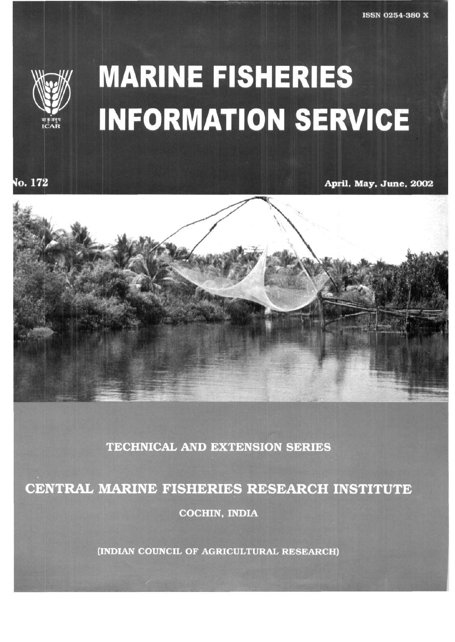

o. 172

## **MARINE FISHERIES INFORMATION SERVICE**

**April, May, June , 2002** 



**TECHNICAL AND EXTENSION SERIES** 

CENTRAL MARINE FISHERIES RESEARCH INSTITUTE

**COCHIN, INDIA** 

(INDIAN COUNCIL OF AGRICULTURAL RESEARCH)